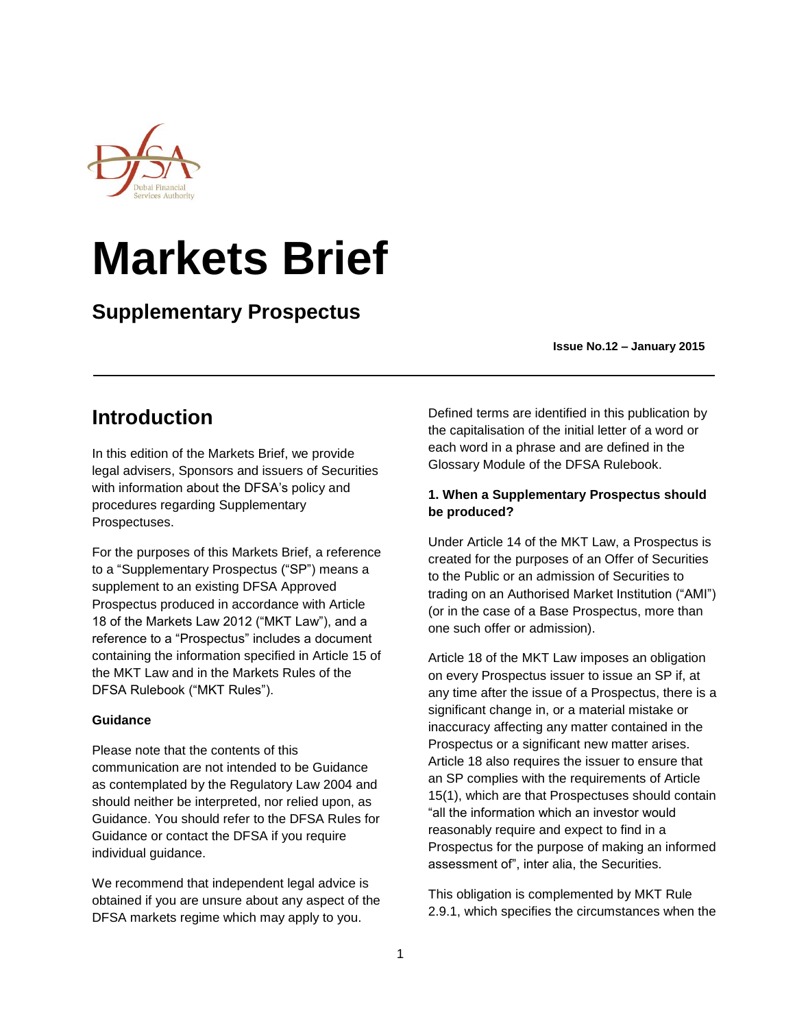

# **Markets Brief**

# **Supplementary Prospectus**

 **Issue No.12 – January 2015**

# **Introduction**

In this edition of the Markets Brief, we provide legal advisers, Sponsors and issuers of Securities with information about the DFSA's policy and procedures regarding Supplementary Prospectuses.

For the purposes of this Markets Brief, a reference to a "Supplementary Prospectus ("SP") means a supplement to an existing DFSA Approved Prospectus produced in accordance with Article 18 of the Markets Law 2012 ("MKT Law"), and a reference to a "Prospectus" includes a document containing the information specified in Article 15 of the MKT Law and in the Markets Rules of the DFSA Rulebook ("MKT Rules").

### **Guidance**

Please note that the contents of this communication are not intended to be Guidance as contemplated by the Regulatory Law 2004 and should neither be interpreted, nor relied upon, as Guidance. You should refer to the DFSA Rules for Guidance or contact the DFSA if you require individual guidance.

We recommend that independent legal advice is obtained if you are unsure about any aspect of the DFSA markets regime which may apply to you.

Defined terms are identified in this publication by the capitalisation of the initial letter of a word or each word in a phrase and are defined in the Glossary Module of the DFSA Rulebook.

### **1. When a Supplementary Prospectus should be produced?**

Under Article 14 of the MKT Law, a Prospectus is created for the purposes of an Offer of Securities to the Public or an admission of Securities to trading on an Authorised Market Institution ("AMI") (or in the case of a Base Prospectus, more than one such offer or admission).

Article 18 of the MKT Law imposes an obligation on every Prospectus issuer to issue an SP if, at any time after the issue of a Prospectus, there is a significant change in, or a material mistake or inaccuracy affecting any matter contained in the Prospectus or a significant new matter arises. Article 18 also requires the issuer to ensure that an SP complies with the requirements of Article 15(1), which are that Prospectuses should contain "all the information which an investor would reasonably require and expect to find in a Prospectus for the purpose of making an informed assessment of", inter alia, the Securities.

This obligation is complemented by MKT Rule 2.9.1, which specifies the circumstances when the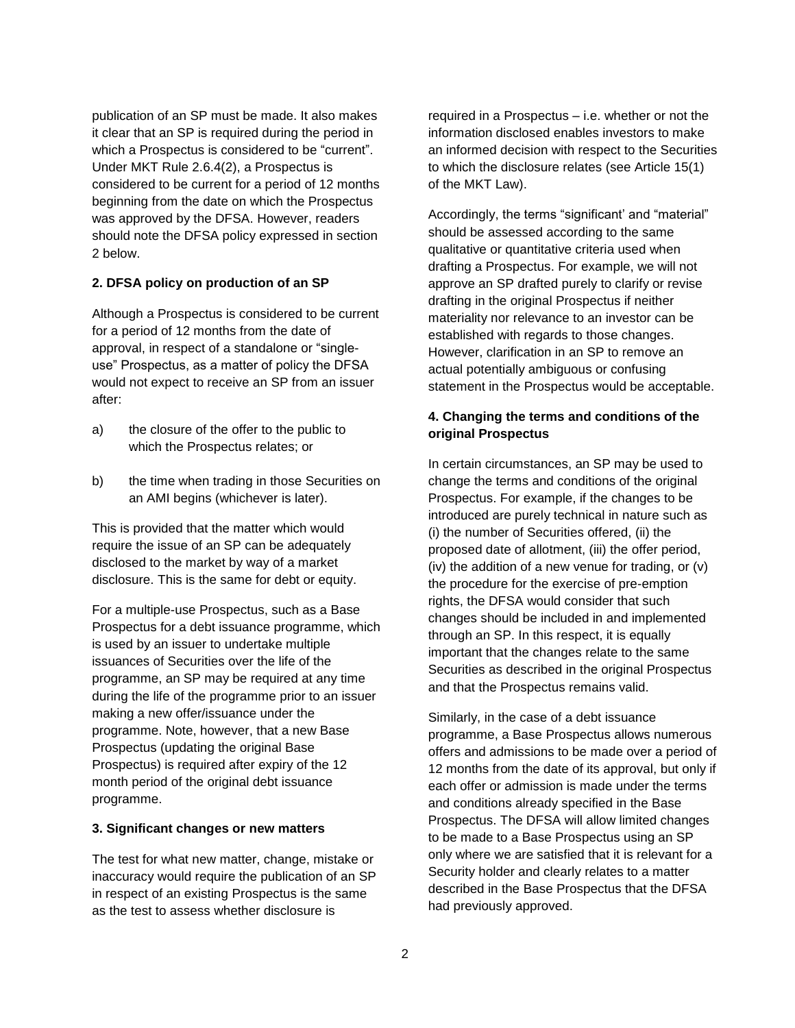publication of an SP must be made. It also makes it clear that an SP is required during the period in which a Prospectus is considered to be "current". Under MKT Rule 2.6.4(2), a Prospectus is considered to be current for a period of 12 months beginning from the date on which the Prospectus was approved by the DFSA. However, readers should note the DFSA policy expressed in section 2 below.

#### **2. DFSA policy on production of an SP**

Although a Prospectus is considered to be current for a period of 12 months from the date of approval, in respect of a standalone or "singleuse" Prospectus, as a matter of policy the DFSA would not expect to receive an SP from an issuer after:

- a) the closure of the offer to the public to which the Prospectus relates; or
- b) the time when trading in those Securities on an AMI begins (whichever is later).

This is provided that the matter which would require the issue of an SP can be adequately disclosed to the market by way of a market disclosure. This is the same for debt or equity.

For a multiple-use Prospectus, such as a Base Prospectus for a debt issuance programme, which is used by an issuer to undertake multiple issuances of Securities over the life of the programme, an SP may be required at any time during the life of the programme prior to an issuer making a new offer/issuance under the programme. Note, however, that a new Base Prospectus (updating the original Base Prospectus) is required after expiry of the 12 month period of the original debt issuance programme.

#### **3. Significant changes or new matters**

The test for what new matter, change, mistake or inaccuracy would require the publication of an SP in respect of an existing Prospectus is the same as the test to assess whether disclosure is

required in a Prospectus – i.e. whether or not the information disclosed enables investors to make an informed decision with respect to the Securities to which the disclosure relates (see Article 15(1) of the MKT Law).

Accordingly, the terms "significant' and "material" should be assessed according to the same qualitative or quantitative criteria used when drafting a Prospectus. For example, we will not approve an SP drafted purely to clarify or revise drafting in the original Prospectus if neither materiality nor relevance to an investor can be established with regards to those changes. However, clarification in an SP to remove an actual potentially ambiguous or confusing statement in the Prospectus would be acceptable.

### **4. Changing the terms and conditions of the original Prospectus**

In certain circumstances, an SP may be used to change the terms and conditions of the original Prospectus. For example, if the changes to be introduced are purely technical in nature such as (i) the number of Securities offered, (ii) the proposed date of allotment, (iii) the offer period, (iv) the addition of a new venue for trading, or (v) the procedure for the exercise of pre-emption rights, the DFSA would consider that such changes should be included in and implemented through an SP. In this respect, it is equally important that the changes relate to the same Securities as described in the original Prospectus and that the Prospectus remains valid.

Similarly, in the case of a debt issuance programme, a Base Prospectus allows numerous offers and admissions to be made over a period of 12 months from the date of its approval, but only if each offer or admission is made under the terms and conditions already specified in the Base Prospectus. The DFSA will allow limited changes to be made to a Base Prospectus using an SP only where we are satisfied that it is relevant for a Security holder and clearly relates to a matter described in the Base Prospectus that the DFSA had previously approved.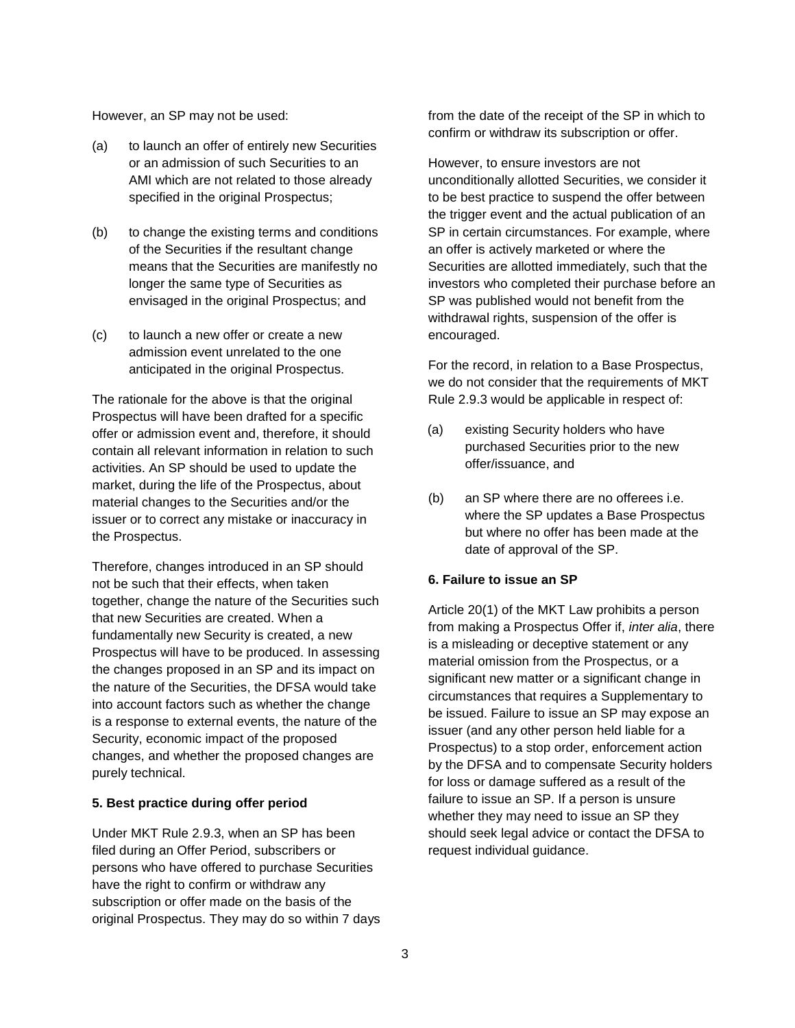However, an SP may not be used:

- (a) to launch an offer of entirely new Securities or an admission of such Securities to an AMI which are not related to those already specified in the original Prospectus;
- (b) to change the existing terms and conditions of the Securities if the resultant change means that the Securities are manifestly no longer the same type of Securities as envisaged in the original Prospectus; and
- (c) to launch a new offer or create a new admission event unrelated to the one anticipated in the original Prospectus.

The rationale for the above is that the original Prospectus will have been drafted for a specific offer or admission event and, therefore, it should contain all relevant information in relation to such activities. An SP should be used to update the market, during the life of the Prospectus, about material changes to the Securities and/or the issuer or to correct any mistake or inaccuracy in the Prospectus.

Therefore, changes introduced in an SP should not be such that their effects, when taken together, change the nature of the Securities such that new Securities are created. When a fundamentally new Security is created, a new Prospectus will have to be produced. In assessing the changes proposed in an SP and its impact on the nature of the Securities, the DFSA would take into account factors such as whether the change is a response to external events, the nature of the Security, economic impact of the proposed changes, and whether the proposed changes are purely technical.

#### **5. Best practice during offer period**

Under MKT Rule 2.9.3, when an SP has been filed during an Offer Period, subscribers or persons who have offered to purchase Securities have the right to confirm or withdraw any subscription or offer made on the basis of the original Prospectus. They may do so within 7 days from the date of the receipt of the SP in which to confirm or withdraw its subscription or offer.

However, to ensure investors are not unconditionally allotted Securities, we consider it to be best practice to suspend the offer between the trigger event and the actual publication of an SP in certain circumstances. For example, where an offer is actively marketed or where the Securities are allotted immediately, such that the investors who completed their purchase before an SP was published would not benefit from the withdrawal rights, suspension of the offer is encouraged.

For the record, in relation to a Base Prospectus, we do not consider that the requirements of MKT Rule 2.9.3 would be applicable in respect of:

- (a) existing Security holders who have purchased Securities prior to the new offer/issuance, and
- (b) an SP where there are no offerees i.e. where the SP updates a Base Prospectus but where no offer has been made at the date of approval of the SP.

#### **6. Failure to issue an SP**

Article 20(1) of the MKT Law prohibits a person from making a Prospectus Offer if, *inter alia*, there is a misleading or deceptive statement or any material omission from the Prospectus, or a significant new matter or a significant change in circumstances that requires a Supplementary to be issued. Failure to issue an SP may expose an issuer (and any other person held liable for a Prospectus) to a stop order, enforcement action by the DFSA and to compensate Security holders for loss or damage suffered as a result of the failure to issue an SP. If a person is unsure whether they may need to issue an SP they should seek legal advice or contact the DFSA to request individual guidance.